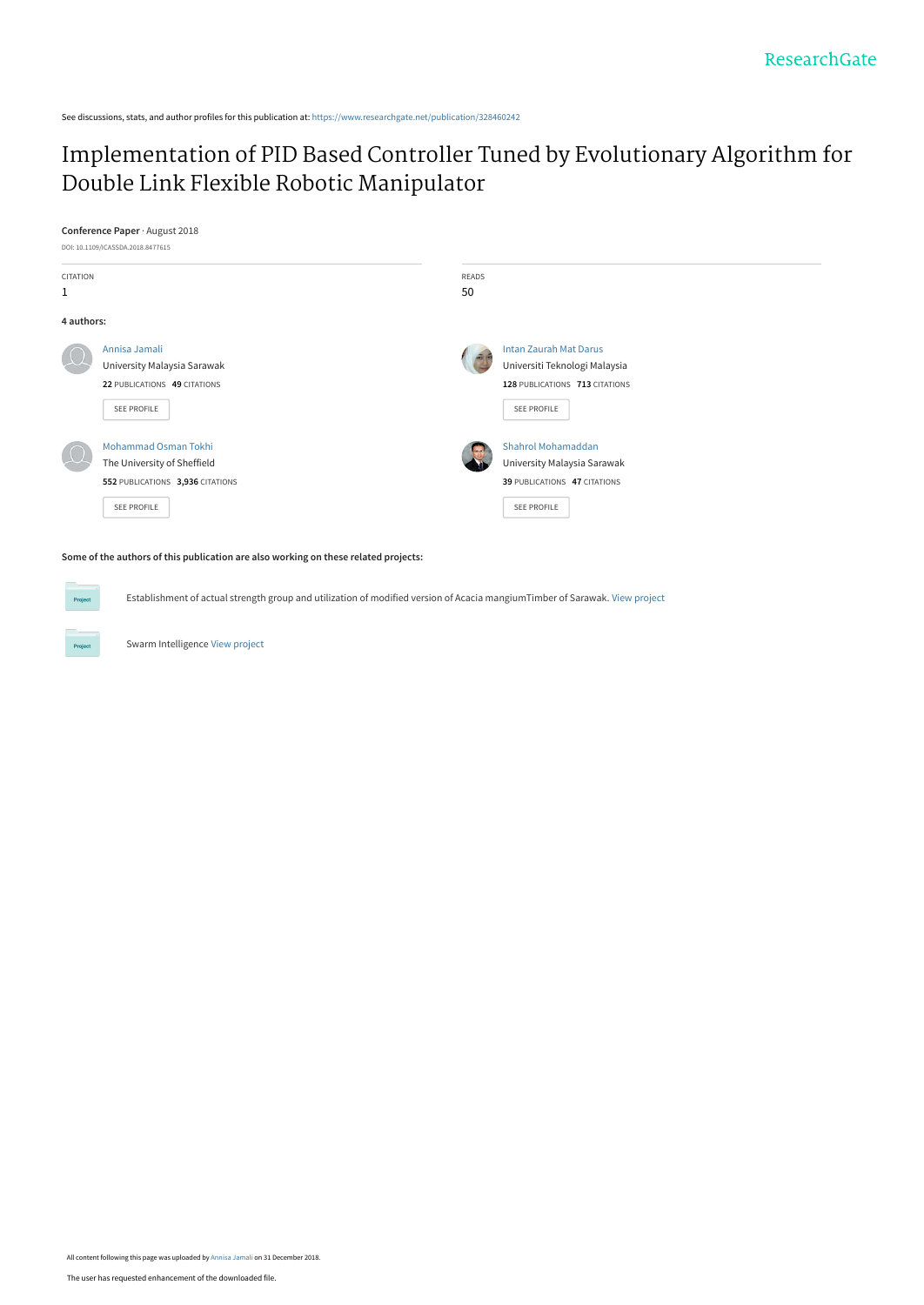See discussions, stats, and author profiles for this publication at: [https://www.researchgate.net/publication/328460242](https://www.researchgate.net/publication/328460242_Implementation_of_PID_Based_Controller_Tuned_by_Evolutionary_Algorithm_for_Double_Link_Flexible_Robotic_Manipulator?enrichId=rgreq-f63db9ae714fc44f047c0dcf6658a562-XXX&enrichSource=Y292ZXJQYWdlOzMyODQ2MDI0MjtBUzo3MDk3MjM4MDQ0MjYyNDBAMTU0NjIyMjc0OTQ1Nw%3D%3D&el=1_x_2&_esc=publicationCoverPdf)

## [Implementation of PID Based Controller Tuned by Evolutionary Algorithm for](https://www.researchgate.net/publication/328460242_Implementation_of_PID_Based_Controller_Tuned_by_Evolutionary_Algorithm_for_Double_Link_Flexible_Robotic_Manipulator?enrichId=rgreq-f63db9ae714fc44f047c0dcf6658a562-XXX&enrichSource=Y292ZXJQYWdlOzMyODQ2MDI0MjtBUzo3MDk3MjM4MDQ0MjYyNDBAMTU0NjIyMjc0OTQ1Nw%3D%3D&el=1_x_3&_esc=publicationCoverPdf) Double Link Flexible Robotic Manipulator

**Conference Paper** · August 2018



**Some of the authors of this publication are also working on these related projects:**

Establishment of actual strength group and utilization of modified version of Acacia mangiumTimber of Sarawak. [View project](https://www.researchgate.net/project/Establishment-of-actual-strength-group-and-utilization-of-modified-version-of-Acacia-mangiumTimber-of-Sarawak?enrichId=rgreq-f63db9ae714fc44f047c0dcf6658a562-XXX&enrichSource=Y292ZXJQYWdlOzMyODQ2MDI0MjtBUzo3MDk3MjM4MDQ0MjYyNDBAMTU0NjIyMjc0OTQ1Nw%3D%3D&el=1_x_9&_esc=publicationCoverPdf)

Swarm Intelligence [View project](https://www.researchgate.net/project/Swarm-Intelligence-7?enrichId=rgreq-f63db9ae714fc44f047c0dcf6658a562-XXX&enrichSource=Y292ZXJQYWdlOzMyODQ2MDI0MjtBUzo3MDk3MjM4MDQ0MjYyNDBAMTU0NjIyMjc0OTQ1Nw%3D%3D&el=1_x_9&_esc=publicationCoverPdf)